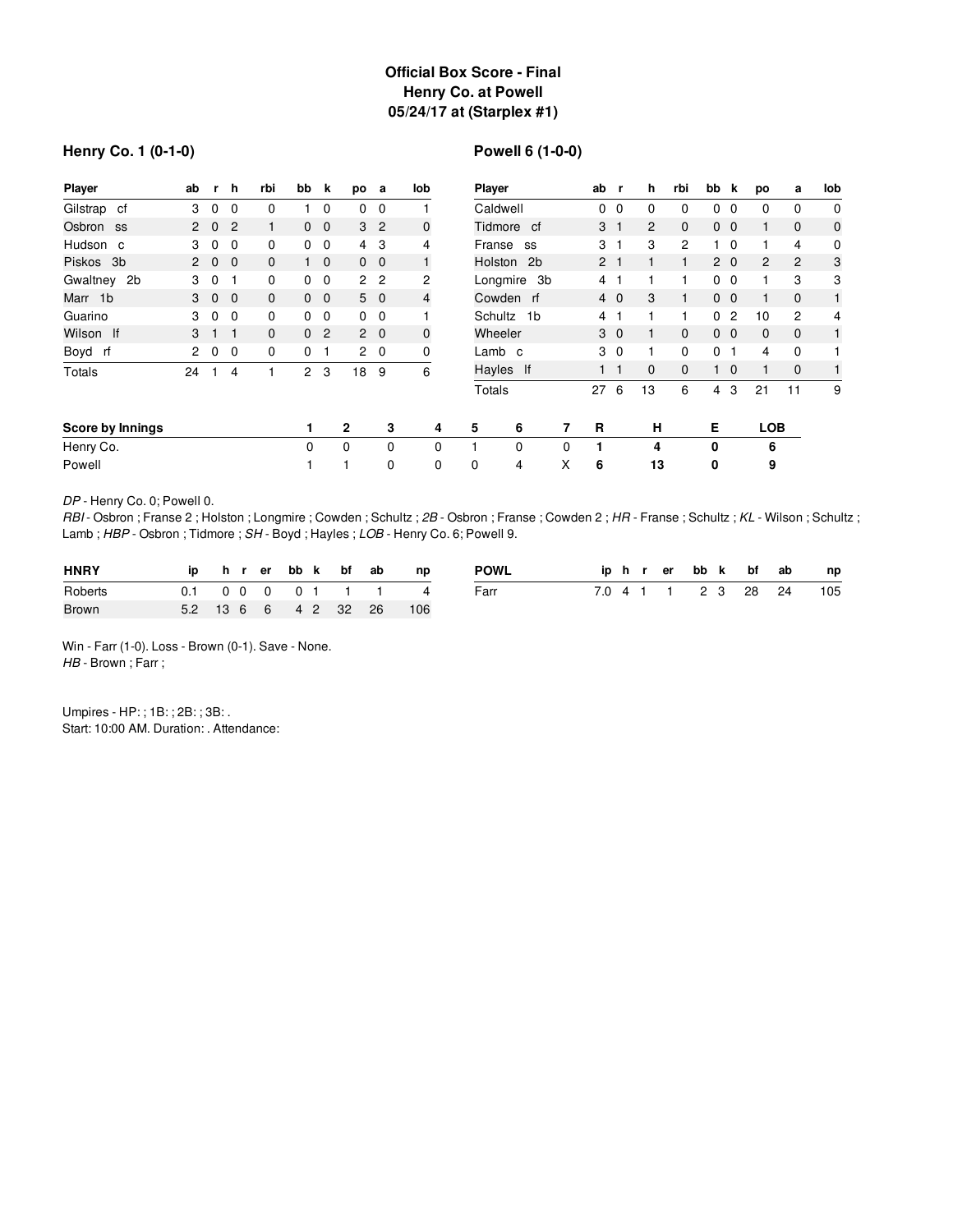# **Official Box Score - Final Henry Co. at Powell 05/24/17 at (Starplex #1)**

### **Henry Co. 1 (0-1-0)**

# **Powell 6 (1-0-0)**

| <b>Player</b>    | ab                   | r.          | h              | rbi          | bb             | k              | po             | а              | lob            |            | Player                    |   |                | r              | h              | rbi            | bb           | k              | po         | а              | lob          |
|------------------|----------------------|-------------|----------------|--------------|----------------|----------------|----------------|----------------|----------------|------------|---------------------------|---|----------------|----------------|----------------|----------------|--------------|----------------|------------|----------------|--------------|
| Gilstrap cf      | 3                    | 0           | 0              | 0            |                | $\mathbf 0$    | 0              | 0              |                |            | Caldwell                  |   |                | 0              | 0              | 0              | $\mathbf 0$  | 0              | 0          | 0              | $\mathbf 0$  |
| Osbron ss        |                      | $2\quad 0$  | $\overline{c}$ |              | $\mathbf{0}$   | $\overline{0}$ |                | 3 <sub>2</sub> | $\mathbf 0$    | Tidmore cf |                           |   | 3 <sub>1</sub> |                | $\overline{c}$ | $\mathbf{0}$   |              | $0\quad 0$     |            | $\mathbf{0}$   | $\mathbf 0$  |
| Hudson c         | 3                    | $\mathbf 0$ | 0              | 0            | 0              | 0              | 4              | 3              | 4              |            | Franse<br>SS              |   |                |                | 3              | $\overline{c}$ |              | $\mathbf 0$    |            | 4              | 0            |
| Piskos<br>3b     | $\mathbf{2}$         | $\mathbf 0$ | $\overline{0}$ | $\mathbf{0}$ |                | $1\quad 0$     | $0\quad 0$     |                |                |            | Holston<br>2 <sub>b</sub> |   |                |                |                |                |              | $2\quad0$      | 2          | 2              | 3            |
| Gwaltney 2b      | 3                    | 0           |                | 0            | 0              | $\mathbf 0$    | 2 <sub>2</sub> |                | 2              |            | Longmire 3b               |   | $\overline{4}$ |                |                |                | $\mathbf{0}$ | 0              |            | 3              | 3            |
| Marr 1b          |                      | $3 \quad 0$ | $\overline{0}$ | $\mathbf{0}$ | $\overline{0}$ | $\overline{0}$ |                | $5\quad 0$     | $\overline{4}$ |            | Cowden rf                 |   |                | $4\quad0$      | 3              | 1              |              | 0 <sub>0</sub> |            | $\mathbf{0}$   | 1            |
| Guarino          | 3                    | $\mathbf 0$ | 0              | 0            | 0              | 0              | 0              | 0              |                |            | Schultz<br>1b             |   |                |                |                |                | 0            | 2              | 10         | $\overline{2}$ | 4            |
| Wilson If        | 3                    |             |                | $\mathbf{0}$ | 0              | 2              |                | $2\quad 0$     | $\mathbf 0$    |            | Wheeler                   |   | 3              | $\overline{0}$ | 1.             | $\mathbf{0}$   |              | 0 <sub>0</sub> | $\Omega$   | $\mathbf{0}$   | $\mathbf{1}$ |
| Boyd rf          | $\mathbf{2}^{\circ}$ | $\mathbf 0$ | $\mathbf 0$    | 0            | $\Omega$       |                |                | $2\quad 0$     | 0              |            | Lamb c                    |   | 3 <sub>0</sub> |                | 1              | 0              | $\mathbf{0}$ |                | 4          | 0              |              |
| Totals           | 24                   |             | 4              |              | $\overline{2}$ | 3              | 18             | 9              | 6              | Hayles If  |                           |   | $\blacksquare$ | - 1            | 0              | $\Omega$       |              | $1\quad 0$     |            | $\mathbf{0}$   | $\mathbf{1}$ |
|                  |                      |             |                |              |                |                |                |                |                |            | Totals                    |   | 27             | 6              | 13             | 6              | 4            | 3              | 21         | 11             | 9            |
| Score by Innings |                      |             |                |              |                |                | $\mathbf{2}$   | 3              | 4              | 5          | 6                         | 7 | R              |                | н              |                | Е            |                | <b>LOB</b> |                |              |
| Henry Co.        |                      |             |                |              | 0              |                | $\Omega$       | $\Omega$       | $\Omega$       |            | $\mathbf 0$               | 0 |                |                | 4              |                | 0            |                | 6          |                |              |
| Powell           |                      |             |                |              |                |                |                | $\Omega$       | $\Omega$       | $\Omega$   | 4                         | X | 6              |                | 13             |                | 0            |                | 9          |                |              |

*DP* - Henry Co. 0; Powell 0.

*RBI* - Osbron ; Franse 2 ; Holston ; Longmire ; Cowden ; Schultz ; *2B* - Osbron ; Franse ; Cowden 2 ; *HR* - Franse ; Schultz ; *KL* - Wilson ; Schultz ; Lamb ; *HBP* - Osbron ; Tidmore ; *SH* - Boyd ; Hayles ; *LOB* - Henry Co. 6; Powell 9.

| <b>HNRY</b>  |  |  |  | ip hrerbbk bfab | n p                      | <b>POWL</b> |  |  |  | iphrer bbk bf ab | np                      |
|--------------|--|--|--|-----------------|--------------------------|-------------|--|--|--|------------------|-------------------------|
| Roberts      |  |  |  |                 | 0.1 0 0 0 0 1 1 1 4      | Farr        |  |  |  |                  | 7.0 4 1 1 2 3 28 24 105 |
| <b>Brown</b> |  |  |  |                 | 5.2 13 6 6 4 2 32 26 106 |             |  |  |  |                  |                         |

Win - Farr (1-0). Loss - Brown (0-1). Save - None. *HB* - Brown ; Farr ;

Umpires - HP: ; 1B: ; 2B: ; 3B: . Start: 10:00 AM. Duration: . Attendance: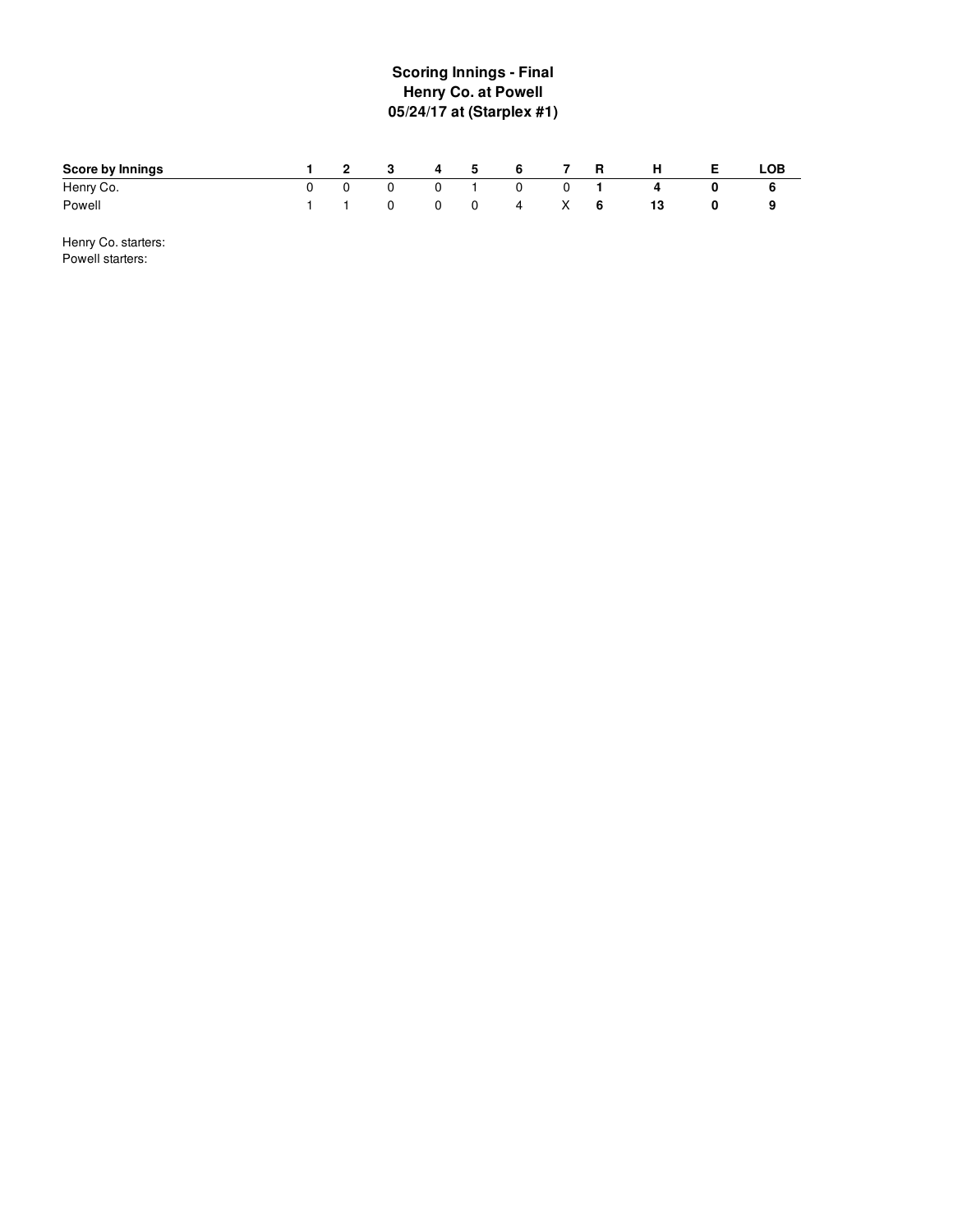### **S c o rin g In nin g s - Fin al Henry Co. at Powell 05/24/17 at (Starplex #1 )**

| <b>Score by Innings</b> |  | 2 3 4 5        |                     | $\sim$ 6 $^{-1}$ | 7 R         | -н | <b>LOB</b> |
|-------------------------|--|----------------|---------------------|------------------|-------------|----|------------|
| Henry Co.               |  | $\overline{0}$ |                     | $\mathbf{0}$     | $0 \quad 1$ |    |            |
| Powell                  |  |                | $0\qquad 0\qquad 0$ |                  | 4 X 6       | 13 | 9          |

Henry Co. starters: Powell starters: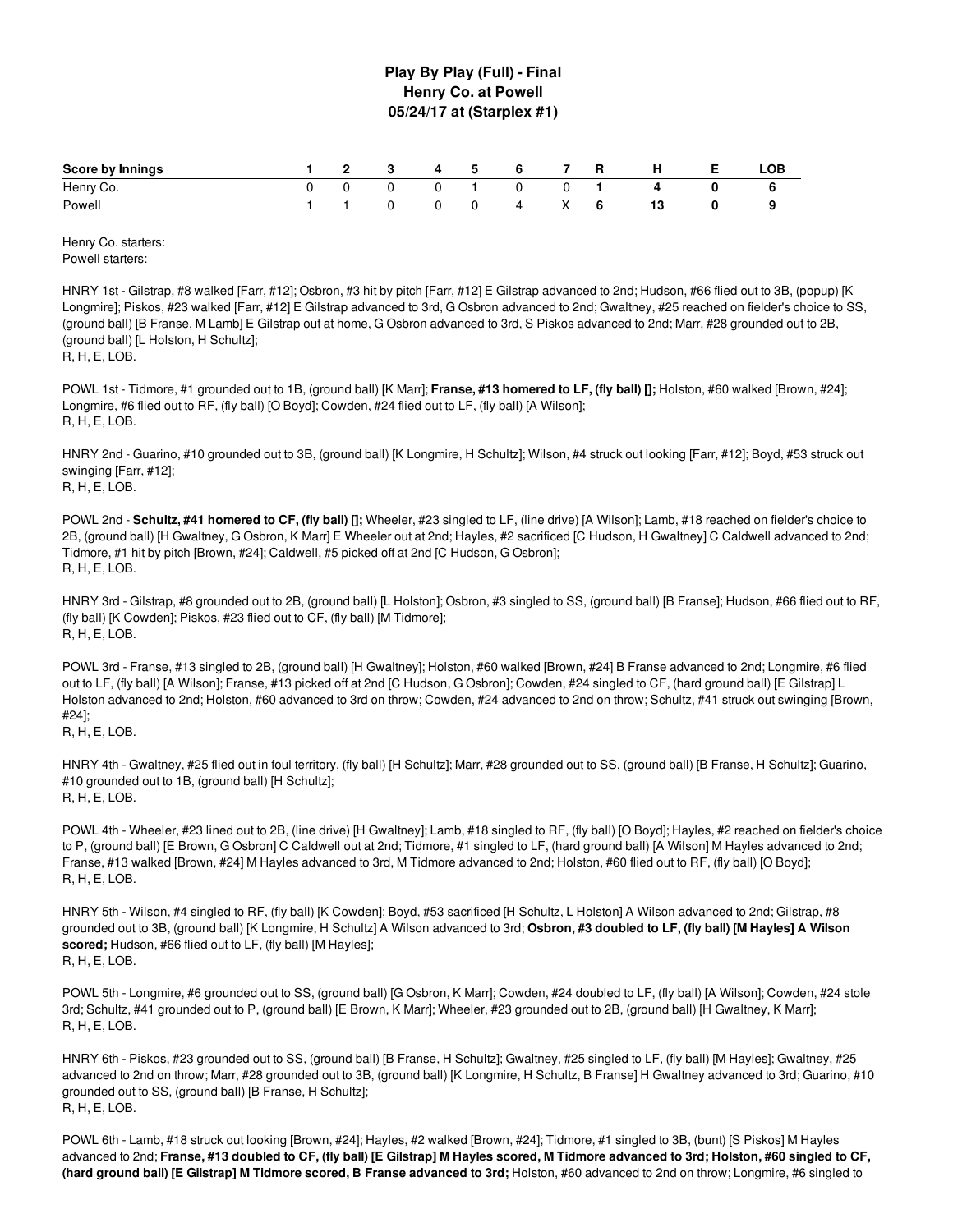### **Play By Play (Full) - Final Henry Co. at Powell 05/24/17 at (Starplex #1)**

| <b>Score by Innings</b> | 1 2 3 4 5 6 7 R |  |  |                 |  | $H$ and $H$       | <b>E</b> | LOB |
|-------------------------|-----------------|--|--|-----------------|--|-------------------|----------|-----|
| Henry Co.               |                 |  |  |                 |  | 0 0 0 0 1 0 0 1 4 |          |     |
| Powell                  |                 |  |  | 1 1 0 0 0 4 X 6 |  |                   |          | 9   |

Henry Co. starters: Powell starters:

HNRY 1st - Gilstrap, #8 walked [Farr, #12]; Osbron, #3 hit by pitch [Farr, #12] E Gilstrap advanced to 2nd; Hudson, #66 flied out to 3B, (popup) [K Longmire]; Piskos, #23 walked [Farr, #12] E Gilstrap advanced to 3rd, G Osbron advanced to 2nd; Gwaltney, #25 reached on fielder's choice to SS, (ground ball) [B Franse, M Lamb] E Gilstrap out at home, G Osbron advanced to 3rd, S Piskos advanced to 2nd; Marr, #28 grounded out to 2B, (ground ball) [L Holston, H Schultz]; R, H, E, LOB.

POWL 1st - Tidmore, #1 grounded out to 1B, (ground ball) [K Marr]; **Franse, #13 homered to LF, (fly ball) [];** Holston, #60 walked [Brown, #24]; Longmire, #6 flied out to RF, (fly ball) [O Boyd]; Cowden, #24 flied out to LF, (fly ball) [A Wilson]; R, H, E, LOB.

HNRY 2nd - Guarino, #10 grounded out to 3B, (ground ball) [K Longmire, H Schultz]; Wilson, #4 struck out looking [Farr, #12]; Boyd, #53 struck out swinging [Farr, #12]; R, H, E, LOB.

POWL 2nd - **Schultz, #41 homered to CF, (fly ball) [];** Wheeler, #23 singled to LF, (line drive) [A Wilson]; Lamb, #18 reached on fielder's choice to 2B, (ground ball) [H Gwaltney, G Osbron, K Marr] E Wheeler out at 2nd; Hayles, #2 sacrificed [C Hudson, H Gwaltney] C Caldwell advanced to 2nd; Tidmore, #1 hit by pitch [Brown, #24]; Caldwell, #5 picked off at 2nd [C Hudson, G Osbron]; R, H, E, LOB.

HNRY 3rd - Gilstrap, #8 grounded out to 2B, (ground ball) [L Holston]; Osbron, #3 singled to SS, (ground ball) [B Franse]; Hudson, #66 flied out to RF, (fly ball) [K Cowden]; Piskos, #23 flied out to CF, (fly ball) [M Tidmore]; R, H, E, LOB.

POWL 3rd - Franse, #13 singled to 2B, (ground ball) [H Gwaltney]; Holston, #60 walked [Brown, #24] B Franse advanced to 2nd; Longmire, #6 flied out to LF, (fly ball) [A Wilson]; Franse, #13 picked off at 2nd [C Hudson, G Osbron]; Cowden, #24 singled to CF, (hard ground ball) [E Gilstrap] L Holston advanced to 2nd; Holston, #60 advanced to 3rd on throw; Cowden, #24 advanced to 2nd on throw; Schultz, #41 struck out swinging [Brown, #24];

R, H, E, LOB.

HNRY 4th - Gwaltney, #25 flied out in foul territory, (fly ball) [H Schultz]; Marr, #28 grounded out to SS, (ground ball) [B Franse, H Schultz]; Guarino, #10 grounded out to 1B, (ground ball) [H Schultz]; R, H, E, LOB.

POWL 4th - Wheeler, #23 lined out to 2B, (line drive) [H Gwaltney]; Lamb, #18 singled to RF, (fly ball) [O Boyd]; Hayles, #2 reached on fielder's choice to P, (ground ball) [E Brown, G Osbron] C Caldwell out at 2nd; Tidmore, #1 singled to LF, (hard ground ball) [A Wilson] M Hayles advanced to 2nd; Franse, #13 walked [Brown, #24] M Hayles advanced to 3rd, M Tidmore advanced to 2nd; Holston, #60 flied out to RF, (fly ball) [O Boyd]; R, H, E, LOB.

HNRY 5th - Wilson, #4 singled to RF, (fly ball) [K Cowden]; Boyd, #53 sacrificed [H Schultz, L Holston] A Wilson advanced to 2nd; Gilstrap, #8 grounded out to 3B, (ground ball) [K Longmire, H Schultz] A Wilson advanced to 3rd; **Osbron, #3 doubled to LF, (fly ball) [M Hayles] A Wilson scored;** Hudson, #66 flied out to LF, (fly ball) [M Hayles]; R, H, E, LOB.

POWL 5th - Longmire, #6 grounded out to SS, (ground ball) [G Osbron, K Marr]; Cowden, #24 doubled to LF, (fly ball) [A Wilson]; Cowden, #24 stole 3rd; Schultz, #41 grounded out to P, (ground ball) [E Brown, K Marr]; Wheeler, #23 grounded out to 2B, (ground ball) [H Gwaltney, K Marr]; R, H, E, LOB.

HNRY 6th - Piskos, #23 grounded out to SS, (ground ball) [B Franse, H Schultz]; Gwaltney, #25 singled to LF, (fly ball) [M Hayles]; Gwaltney, #25 advanced to 2nd on throw; Marr, #28 grounded out to 3B, (ground ball) [K Longmire, H Schultz, B Franse] H Gwaltney advanced to 3rd; Guarino, #10 grounded out to SS, (ground ball) [B Franse, H Schultz]; R, H, E, LOB.

POWL 6th - Lamb, #18 struck out looking [Brown, #24]; Hayles, #2 walked [Brown, #24]; Tidmore, #1 singled to 3B, (bunt) [S Piskos] M Hayles advanced to 2nd; Franse, #13 doubled to CF, (fly ball) [E Gilstrap] M Hayles scored, M Tidmore advanced to 3rd; Holston, #60 singled to CF, (hard ground ball) [E Gilstrap] M Tidmore scored, B Franse advanced to 3rd; Holston, #60 advanced to 2nd on throw; Longmire, #6 singled to